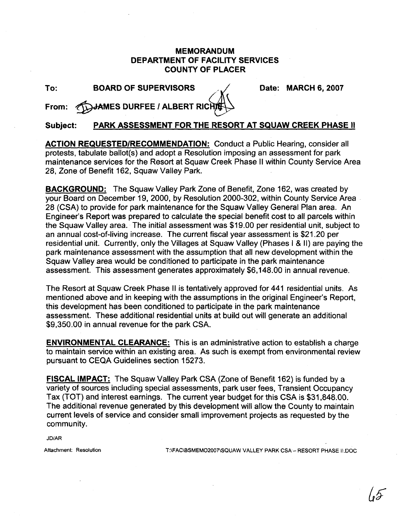## **MEMORANDUM DEPARTMENT OF FACILITY SERVICES COUNTY OF PLACER**

| o m | ۰, |
|-----|----|

**The BOARD OF SUPERVISORS And Let Lead the Date: MARCH 6, 2007** 

From: **ADJAMES DURFEE / ALBERT RICH** 

**Subject: PARK ASSESSMENT FOR THE RESORT AT SQUAW CREEK PHASE II** 

**ACTION REQUESTEDIRECOMMENDATION:** Conduct a Public Hearing, consider all protests, tabulate ballot(s) and adopt a Resolution imposing an assessment for park maintenance services for the Resort at Squaw Creek Phase II within County Service Area 28, Zone of Benefit 162, Squaw Valley Park.

**BACKGROUND:** The Squaw Valley Park Zone of Benefit, Zone 162, was created by your Board on December 19, 2000, by Resolution 2000-302, within County Service Area 28 (CSA) to provide for park maintenance for the Squaw Valley General Plan area. An Engineer's Report was prepared to calculate the special benefit cost to all parcels within the Squaw Valley area. The initial assessment was \$19.00 per residential unit, subject to an annual cost-of-living increase. The current fiscal year assessment is \$21.20 per residential unit. Currently, only the Villages at Squaw Valley (Phases I & II) are paying the park maintenance assessment with the assumption that all new development within the Squaw Valley area would be conditioned to participate in the park maintenance assessment. This assessment generates approximately \$6,148.00 in annual revenue.

The Resort at Squaw Creek Phase II is tentatively approved for 441 residential units. As mentioned above and in keeping with the assumptions in the original Engineer's Report, this development has been conditioned to participate in the park maintenance assessment. These additional residential units at build out will generate an additional \$9,350.00 in annual revenue for the park CSA.

**ENVIRONMENTAL CLEARANCE:** This is an administrative action to establish a charge to maintain service within an existing area. As such is exempt from environmental review pursuant to CEQA Guidelines section 15273.

**FISCAL IMPACT:** The Squaw Valley Park CSA (Zone of Benefit 162) is funded by a variety of sources including special assessments, park user fees, Transient Occupancy Tax (TOT) and interest earnings. The current year budget for this CSA is \$31,848.00. The additional revenue generated by this development will allow the County to maintain current levels of service and consider small improvement projects as requested by the community.

JD/AR

**Attachment: Resolution** T:\FAC\BSMEM02007\SQUAW VALLEY PARK CSA - RESORT PHASE II.DOC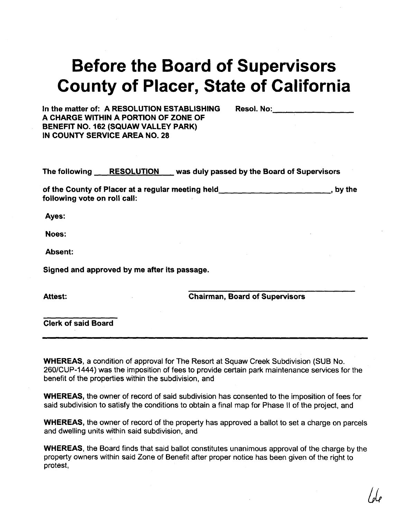## Before the Board of Supervisors County of Placer, State of California

In the matter of: A RESOLUTION ESTABLISHING Resol. No: A CHARGE WITHIN A PORTION OF ZONE OF BENEFIT NO. 162 (SQUAW VALLEY PARK) IN COUNTY SERVICE AREA NO. 28

The following RESOLUTION was duly passed by the Board of Supervisors

of the County of Placer at a regular meeting held by the state of the County of Placer at a regular meeting held following vote on roll call:

Ayes:

Noes:

Absent:

Signed and approved by me after its passage.

Attest:

Chairman, Board of Supervisors

Clerk of said Board

WHEREAS, a condition of approval for The Resort at Squaw Creek Subdivision (SUB No. 2601CUP-1444) was the imposition of fees to provide certain park maintenance services for the benefit of the properties within the subdivision, and

WHEREAS, the owner of record of said subdivision has consented to the imposition of fees for said subdivision to satisfy the conditions to obtain a final map for Phase I1 of the project, and

WHEREAS, the owner of record of the property has approved a ballot to set a charge on parcels and dwelling units within said subdivision, and

WHEREAS, the Board finds that said ballot constitutes unanimous approval of the charge by the property owners within said Zone of Benefit after proper notice has been given of the right to protest,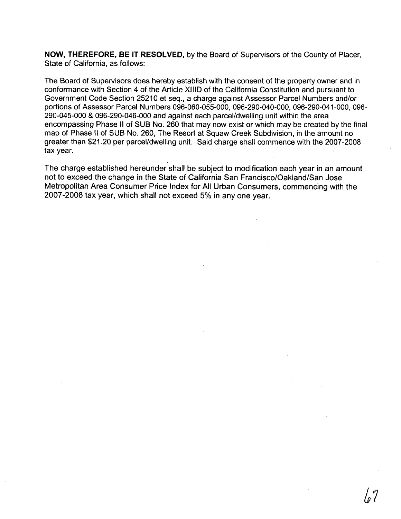**NOW, THEREFORE, BE IT RESOLVED,** by the Board of Supervisors of the County of Placer, State of California. as follows:

The Board of Supervisors does hereby establish with the consent of the property owner and in conformance with Section 4 of the Article XlllD of the California Constitution and pursuant to Government Code Section 25210 et seq., a charge against Assessor Parcel Numbers and/or portions of Assessor Parcel Numbers 096-060-055-000, 096-290-040-000, 096-290-041-000, 096- 290-045-000 & 096-290-046-000 and against each parcel/dwelling unit within the area encompassing Phase I1 of SUB No. 260 that may now exist or which may be created by the final map of Phase I1 of SUB No. 260, The Resort at Squaw Creek Subdivision, in the amount no greater than \$21.20 per parcel/dwelling unit. Said charge shall commence with the 2007-2008 tax year.

The charge established hereunder shall be subject to modification each year in an amount not to exceed the change in the State of California San Francisco/Oakland/San Jose Metropolitan Area Consumer Price Index for All Urban Consumers, commencing with the 2007-2008 tax year, which shall not exceed 5% in any one year.